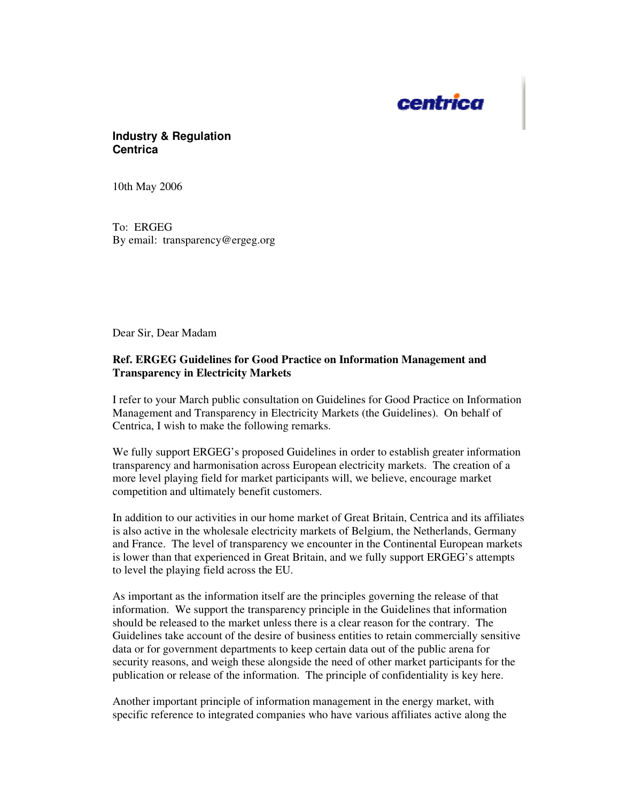

## **Industry & Regulation Centrica**

10th May 2006

To: ERGEG By email: transparency@ergeg.org

Dear Sir, Dear Madam

## **Ref. ERGEG Guidelines for Good Practice on Information Management and Transparency in Electricity Markets**

I refer to your March public consultation on Guidelines for Good Practice on Information Management and Transparency in Electricity Markets (the Guidelines). On behalf of Centrica, I wish to make the following remarks.

We fully support ERGEG's proposed Guidelines in order to establish greater information transparency and harmonisation across European electricity markets. The creation of a more level playing field for market participants will, we believe, encourage market competition and ultimately benefit customers.

In addition to our activities in our home market of Great Britain, Centrica and its affiliates is also active in the wholesale electricity markets of Belgium, the Netherlands, Germany and France. The level of transparency we encounter in the Continental European markets is lower than that experienced in Great Britain, and we fully support ERGEG's attempts to level the playing field across the EU.

As important as the information itself are the principles governing the release of that information. We support the transparency principle in the Guidelines that information should be released to the market unless there is a clear reason for the contrary. The Guidelines take account of the desire of business entities to retain commercially sensitive data or for government departments to keep certain data out of the public arena for security reasons, and weigh these alongside the need of other market participants for the publication or release of the information. The principle of confidentiality is key here.

Another important principle of information management in the energy market, with specific reference to integrated companies who have various affiliates active along the